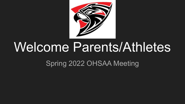

# Welcome Parents/Athletes

Spring 2022 OHSAA Meeting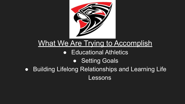

# What We Are Trying to Accomplish

#### ● Educational Athletics

#### ● Setting Goals

● Building Lifelong Relationships and Learning Life Lessons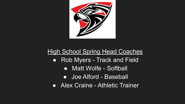

#### **High School Spring Head Coaches**

- Rob Myers Track and Field
	- Matt Wolfe Softball
	- Joe Alford Baseball
- Alex Craine Athletic Trainer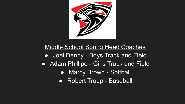

#### Middle School Spring Head Coaches

- Joel Denny Boys Track and Field
- Adam Phillipe Girls Track and Field
	- Marcy Brown Softball
	- Robert Troup Baseball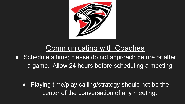

#### Communicating with Coaches

• Schedule a time; please do not approach before or after a game. Allow 24 hours before scheduling a meeting

● Playing time/play calling/strategy should not be the center of the conversation of any meeting.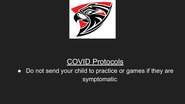

#### COVID Protocols

● Do not send your child to practice or games if they are symptomatic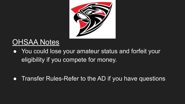

# **OHSAA Notes**

● You could lose your amateur status and forfeit your eligibility if you compete for money.

• Transfer Rules-Refer to the AD if you have questions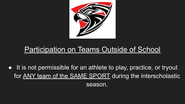

#### Participation on Teams Outside of School

• It is not permissible for an athlete to play, practice, or tryout for ANY team of the SAME SPORT during the interscholastic

season.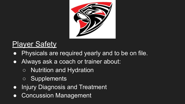

# **Player Safety**

- Physicals are required yearly and to be on file.
- Always ask a coach or trainer about:
	- Nutrition and Hydration
	- o Supplements
- Injury Diagnosis and Treatment
- Concussion Management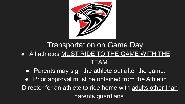

# **Transportation on Game Day**

- All athletes MUST RIDE TO THE GAME WITH THE TEAM.
	- Parents may sign the athlete out after the game.
- Prior approval must be obtained from the Athletic Director for an athlete to ride home with adults other than parents guardians.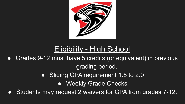

# Eligibility - High School

- Grades 9-12 must have 5 credits (or equivalent) in previous grading period.
	- Sliding GPA requirement 1.5 to 2.0
		- Weekly Grade Checks
- Students may request 2 waivers for GPA from grades 7-12.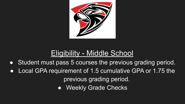

#### Eligibility - Middle School

- Student must pass 5 courses the previous grading period.
- Local GPA requirement of 1.5 cumulative GPA or 1.75 the previous grading period.
	- Weekly Grade Checks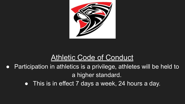

#### Athletic Code of Conduct

- Participation in athletics is a privilege, athletes will be held to a higher standard.
	- This is in effect 7 days a week, 24 hours a day.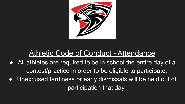

#### Athletic Code of Conduct - Attendance

- All athletes are required to be in school the entire day of a contest/practice in order to be eligible to participate.
- Unexcused tardiness or early dismissals will be held out of participation that day.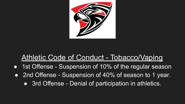

#### Athletic Code of Conduct - Tobacco/Vaping

- 1st Offense Suspension of 10% of the regular season
- 2nd Offense Suspension of 40% of season to 1 year.
	- 3rd Offense Denial of participation in athletics.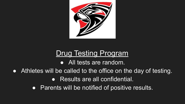

#### Drug Testing Program

• All tests are random.

- Athletes will be called to the office on the day of testing. ● Results are all confidential.
	- Parents will be notified of positive results.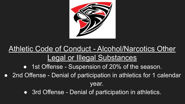

# Athletic Code of Conduct - Alcohol/Narcotics Other Legal or Illegal Substances

- 1st Offense Suspension of 20% of the season.
- 2nd Offense Denial of participation in athletics for 1 calendar

year.

• 3rd Offense - Denial of participation in athletics.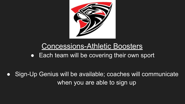

#### Concessions-Athletic Boosters

● Each team will be covering their own sport

Sign-Up Genius will be available; coaches will communicate when you are able to sign up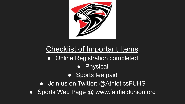

# Checklist of Important Items

- Online Registration completed
	- Physical
	- Sports fee paid
- Join us on Twitter: @AthleticsFUHS
- Sports Web Page @ www.fairfieldunion.org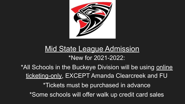

#### **Mid State League Admission**

#### \*New for 2021-2022:

\*All Schools in the Buckeye Division will be using online ticketing-only, EXCEPT Amanda Clearcreek and FU \*Tickets must be purchased in advance \*Some schools will offer walk up credit card sales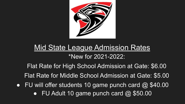

# Mid State League Admission Rates

#### \*New for 2021-2022:

Flat Rate for High School Admission at Gate: \$6.00

Flat Rate for Middle School Admission at Gate: \$5.00

• FU will offer students 10 game punch card  $\omega$  \$40.00  $\bullet$  FU Adult 10 game punch card  $@$  \$50.00